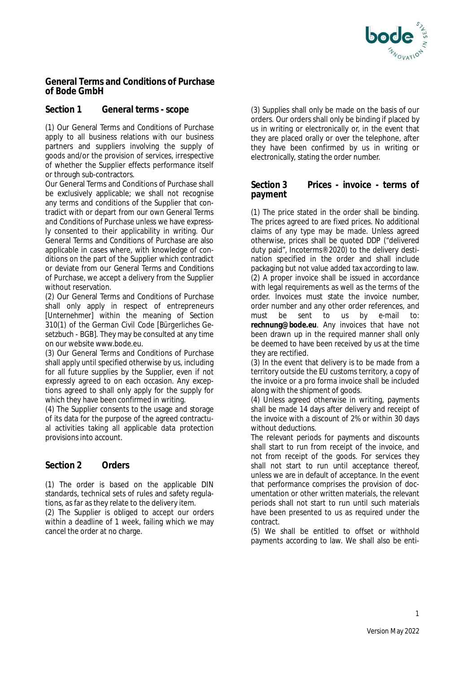

## **General Terms and Conditions of Purchase of Bode GmbH**

# **Section 1 General terms - scope**

(1) Our General Terms and Conditions of Purchase apply to all business relations with our business partners and suppliers involving the supply of goods and/or the provision of services, irrespective of whether the Supplier effects performance itself or through sub-contractors.

Our General Terms and Conditions of Purchase shall be exclusively applicable; we shall not recognise any terms and conditions of the Supplier that contradict with or depart from our own General Terms and Conditions of Purchase unless we have expressly consented to their applicability in writing. Our General Terms and Conditions of Purchase are also applicable in cases where, with knowledge of conditions on the part of the Supplier which contradict or deviate from our General Terms and Conditions of Purchase, we accept a delivery from the Supplier without reservation.

(2) Our General Terms and Conditions of Purchase shall only apply in respect of entrepreneurs [*Unternehmer*] within the meaning of Section 310(1) of the German Civil Code [*Bürgerliches Gesetzbuch* - BGB]. They may be consulted at any time on our website www.bode.eu.

(3) Our General Terms and Conditions of Purchase shall apply until specified otherwise by us, including for all future supplies by the Supplier, even if not expressly agreed to on each occasion. Any exceptions agreed to shall only apply for the supply for which they have been confirmed in writing.

(4) The Supplier consents to the usage and storage of its data for the purpose of the agreed contractual activities taking all applicable data protection provisions into account.

# **Section 2 Orders**

(1) The order is based on the applicable DIN standards, technical sets of rules and safety regulations, as far as they relate to the delivery item.

(2) The Supplier is obliged to accept our orders within a deadline of 1 week, failing which we may cancel the order at no charge.

(3) Supplies shall only be made on the basis of our orders. Our orders shall only be binding if placed by us in writing or electronically or, in the event that they are placed orally or over the telephone, after they have been confirmed by us in writing or electronically, stating the order number.

## **Section 3 Prices - invoice - terms of payment**

(1) The price stated in the order shall be binding. The prices agreed to are fixed prices. No additional claims of any type may be made. Unless agreed otherwise, prices shall be quoted DDP ("delivered duty paid", Incoterms® 2020) to the delivery destination specified in the order and shall include packaging but not value added tax according to law. (2) A proper invoice shall be issued in accordance with legal requirements as well as the terms of the order. Invoices must state the invoice number, order number and any other order references, and must be sent to us by e-mail to: **rechnung@bode.eu**. Any invoices that have not been drawn up in the required manner shall only be deemed to have been received by us at the time they are rectified.

(3) In the event that delivery is to be made from a territory outside the EU customs territory, a copy of the invoice or a pro forma invoice shall be included along with the shipment of goods.

(4) Unless agreed otherwise in writing, payments shall be made 14 days after delivery and receipt of the invoice with a discount of 2% or within 30 days without deductions.

The relevant periods for payments and discounts shall start to run from receipt of the invoice, and not from receipt of the goods. For services they shall not start to run until acceptance thereof, unless we are in default of acceptance. In the event that performance comprises the provision of documentation or other written materials, the relevant periods shall not start to run until such materials have been presented to us as required under the contract.

(5) We shall be entitled to offset or withhold payments according to law. We shall also be enti-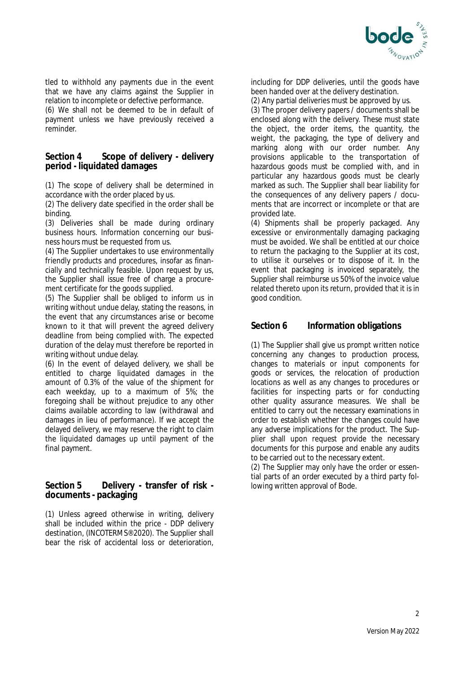

tled to withhold any payments due in the event that we have any claims against the Supplier in relation to incomplete or defective performance.

(6) We shall not be deemed to be in default of payment unless we have previously received a reminder.

#### **Section 4 Scope of delivery - delivery period - liquidated damages**

(1) The scope of delivery shall be determined in accordance with the order placed by us.

(2) The delivery date specified in the order shall be binding.

(3) Deliveries shall be made during ordinary business hours. Information concerning our business hours must be requested from us.

(4) The Supplier undertakes to use environmentally friendly products and procedures, insofar as financially and technically feasible. Upon request by us, the Supplier shall issue free of charge a procurement certificate for the goods supplied.

(5) The Supplier shall be obliged to inform us in writing without undue delay, stating the reasons, in the event that any circumstances arise or become known to it that will prevent the agreed delivery deadline from being complied with. The expected duration of the delay must therefore be reported in writing without undue delay.

(6) In the event of delayed delivery, we shall be entitled to charge liquidated damages in the amount of 0.3% of the value of the shipment for each weekday, up to a maximum of 5%; the foregoing shall be without prejudice to any other claims available according to law (withdrawal and damages in lieu of performance). If we accept the delayed delivery, we may reserve the right to claim the liquidated damages up until payment of the final payment.

#### **Section 5 Delivery - transfer of risk documents - packaging**

(1) Unless agreed otherwise in writing, delivery shall be included within the price - DDP delivery destination, (INCOTERMS® 2020). The Supplier shall bear the risk of accidental loss or deterioration, including for DDP deliveries, until the goods have been handed over at the delivery destination.

(2) Any partial deliveries must be approved by us.

(3) The proper delivery papers / documents shall be enclosed along with the delivery. These must state the object, the order items, the quantity, the weight, the packaging, the type of delivery and marking along with our order number. Any provisions applicable to the transportation of hazardous goods must be complied with, and in particular any hazardous goods must be clearly marked as such. The Supplier shall bear liability for the consequences of any delivery papers / documents that are incorrect or incomplete or that are provided late.

(4) Shipments shall be properly packaged. Any excessive or environmentally damaging packaging must be avoided. We shall be entitled at our choice to return the packaging to the Supplier at its cost, to utilise it ourselves or to dispose of it. In the event that packaging is invoiced separately, the Supplier shall reimburse us 50% of the invoice value related thereto upon its return, provided that it is in good condition.

# **Section 6 Information obligations**

(1) The Supplier shall give us prompt written notice concerning any changes to production process, changes to materials or input components for goods or services, the relocation of production locations as well as any changes to procedures or facilities for inspecting parts or for conducting other quality assurance measures. We shall be entitled to carry out the necessary examinations in order to establish whether the changes could have any adverse implications for the product. The Supplier shall upon request provide the necessary documents for this purpose and enable any audits to be carried out to the necessary extent.

(2) The Supplier may only have the order or essential parts of an order executed by a third party following written approval of Bode.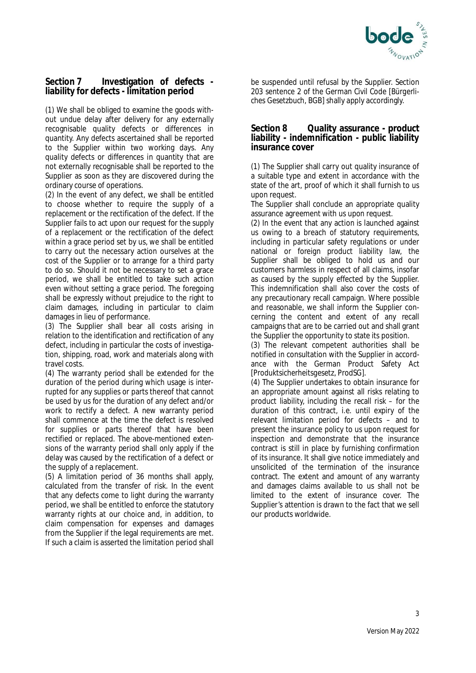

## **Section 7 Investigation of defects liability for defects - limitation period**

(1) We shall be obliged to examine the goods without undue delay after delivery for any externally recognisable quality defects or differences in quantity. Any defects ascertained shall be reported to the Supplier within two working days. Any quality defects or differences in quantity that are not externally recognisable shall be reported to the Supplier as soon as they are discovered during the ordinary course of operations.

(2) In the event of any defect, we shall be entitled to choose whether to require the supply of a replacement or the rectification of the defect. If the Supplier fails to act upon our request for the supply of a replacement or the rectification of the defect within a grace period set by us, we shall be entitled to carry out the necessary action ourselves at the cost of the Supplier or to arrange for a third party to do so. Should it not be necessary to set a grace period, we shall be entitled to take such action even without setting a grace period. The foregoing shall be expressly without prejudice to the right to claim damages, including in particular to claim damages in lieu of performance.

(3) The Supplier shall bear all costs arising in relation to the identification and rectification of any defect, including in particular the costs of investigation, shipping, road, work and materials along with travel costs.

(4) The warranty period shall be extended for the duration of the period during which usage is interrupted for any supplies or parts thereof that cannot be used by us for the duration of any defect and/or work to rectify a defect. A new warranty period shall commence at the time the defect is resolved for supplies or parts thereof that have been rectified or replaced. The above-mentioned extensions of the warranty period shall only apply if the delay was caused by the rectification of a defect or the supply of a replacement.

(5) A limitation period of 36 months shall apply, calculated from the transfer of risk. In the event that any defects come to light during the warranty period, we shall be entitled to enforce the statutory warranty rights at our choice and, in addition, to claim compensation for expenses and damages from the Supplier if the legal requirements are met. If such a claim is asserted the limitation period shall

be suspended until refusal by the Supplier. Section 203 sentence 2 of the German Civil Code [*Bürgerliches Gesetzbuch*, BGB] shally apply accordingly.

#### **Section 8 Quality assurance - product liability - indemnification - public liability insurance cover**

(1) The Supplier shall carry out quality insurance of a suitable type and extent in accordance with the state of the art, proof of which it shall furnish to us upon request.

The Supplier shall conclude an appropriate quality assurance agreement with us upon request.

(2) In the event that any action is launched against us owing to a breach of statutory requirements, including in particular safety regulations or under national or foreign product liability law, the Supplier shall be obliged to hold us and our customers harmless in respect of all claims, insofar as caused by the supply effected by the Supplier. This indemnification shall also cover the costs of any precautionary recall campaign. Where possible and reasonable, we shall inform the Supplier concerning the content and extent of any recall campaigns that are to be carried out and shall grant the Supplier the opportunity to state its position.

(3) The relevant competent authorities shall be notified in consultation with the Supplier in accordance with the German Product Safety Act [*Produktsicherheitsgesetz*, ProdSG].

(4) The Supplier undertakes to obtain insurance for an appropriate amount against all risks relating to product liability, including the recall risk – for the duration of this contract, i.e. until expiry of the relevant limitation period for defects – and to present the insurance policy to us upon request for inspection and demonstrate that the insurance contract is still in place by furnishing confirmation of its insurance. It shall give notice immediately and unsolicited of the termination of the insurance contract. The extent and amount of any warranty and damages claims available to us shall not be limited to the extent of insurance cover. The Supplier's attention is drawn to the fact that we sell our products worldwide.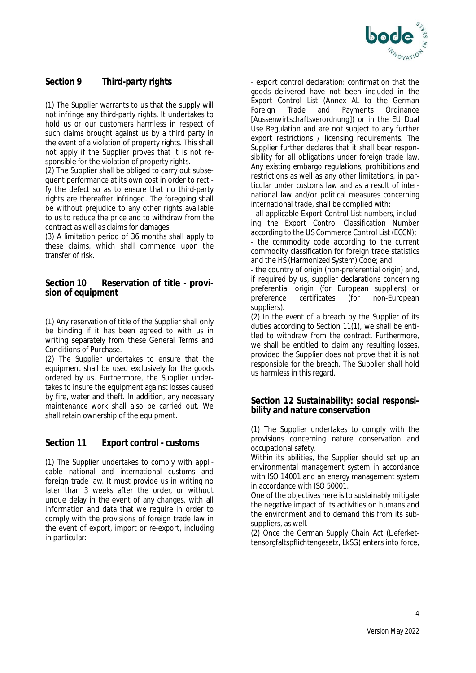

# **Section 9 Third-party rights**

(1) The Supplier warrants to us that the supply will not infringe any third-party rights. It undertakes to hold us or our customers harmless in respect of such claims brought against us by a third party in the event of a violation of property rights. This shall not apply if the Supplier proves that it is not responsible for the violation of property rights.

(2) The Supplier shall be obliged to carry out subsequent performance at its own cost in order to rectify the defect so as to ensure that no third-party rights are thereafter infringed. The foregoing shall be without prejudice to any other rights available to us to reduce the price and to withdraw from the contract as well as claims for damages.

(3) A limitation period of 36 months shall apply to these claims, which shall commence upon the transfer of risk.

**Section 10 Reservation of title - provision of equipment**

(1) Any reservation of title of the Supplier shall only be binding if it has been agreed to with us in writing separately from these General Terms and Conditions of Purchase.

(2) The Supplier undertakes to ensure that the equipment shall be used exclusively for the goods ordered by us. Furthermore, the Supplier undertakes to insure the equipment against losses caused by fire, water and theft. In addition, any necessary maintenance work shall also be carried out. We shall retain ownership of the equipment.

# **Section 11 Export control - customs**

(1) The Supplier undertakes to comply with applicable national and international customs and foreign trade law. It must provide us in writing no later than 3 weeks after the order, or without undue delay in the event of any changes, with all information and data that we require in order to comply with the provisions of foreign trade law in the event of export, import or re-export, including in particular:

- export control declaration: confirmation that the goods delivered have not been included in the Export Control List (Annex AL to the German Foreign Trade and Payments Ordinance [*Aussenwirtschaftsverordnung*]) or in the EU Dual Use Regulation and are not subject to any further export restrictions / licensing requirements. The Supplier further declares that it shall bear responsibility for all obligations under foreign trade law. Any existing embargo regulations, prohibitions and restrictions as well as any other limitations, in particular under customs law and as a result of international law and/or political measures concerning international trade, shall be complied with:

- all applicable Export Control List numbers, including the Export Control Classification Number according to the US Commerce Control List (ECCN);

- the commodity code according to the current commodity classification for foreign trade statistics and the HS (Harmonized System) Code; and

- the country of origin (non-preferential origin) and, if required by us, supplier declarations concerning preferential origin (for European suppliers) or preference certificates (for non-European suppliers).

(2) In the event of a breach by the Supplier of its duties according to Section 11(1), we shall be entitled to withdraw from the contract. Furthermore, we shall be entitled to claim any resulting losses, provided the Supplier does not prove that it is not responsible for the breach. The Supplier shall hold us harmless in this regard.

## **Section 12 Sustainability: social responsibility and nature conservation**

(1) The Supplier undertakes to comply with the provisions concerning nature conservation and occupational safety.

Within its abilities, the Supplier should set up an environmental management system in accordance with ISO 14001 and an energy management system in accordance with ISO 50001.

One of the objectives here is to sustainably mitigate the negative impact of its activities on humans and the environment and to demand this from its subsuppliers, as well.

(2) Once the German Supply Chain Act (Lieferkettensorgfaltspflichtengesetz, LkSG) enters into force,